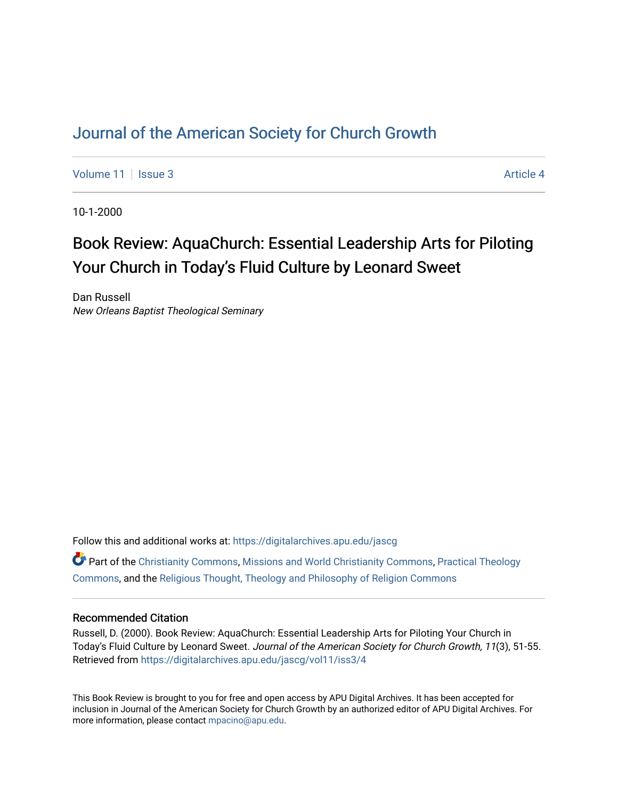## [Journal of the American Society for Church Growth](https://digitalarchives.apu.edu/jascg)

[Volume 11](https://digitalarchives.apu.edu/jascg/vol11) | [Issue 3](https://digitalarchives.apu.edu/jascg/vol11/iss3) Article 4

10-1-2000

# Book Review: AquaChurch: Essential Leadership Arts for Piloting Your Church in Today's Fluid Culture by Leonard Sweet

Dan Russell New Orleans Baptist Theological Seminary

Follow this and additional works at: [https://digitalarchives.apu.edu/jascg](https://digitalarchives.apu.edu/jascg?utm_source=digitalarchives.apu.edu%2Fjascg%2Fvol11%2Fiss3%2F4&utm_medium=PDF&utm_campaign=PDFCoverPages) 

 $\bullet$  Part of the [Christianity Commons,](http://network.bepress.com/hgg/discipline/1181?utm_source=digitalarchives.apu.edu%2Fjascg%2Fvol11%2Fiss3%2F4&utm_medium=PDF&utm_campaign=PDFCoverPages) [Missions and World Christianity Commons](http://network.bepress.com/hgg/discipline/1187?utm_source=digitalarchives.apu.edu%2Fjascg%2Fvol11%2Fiss3%2F4&utm_medium=PDF&utm_campaign=PDFCoverPages), Practical Theology [Commons](http://network.bepress.com/hgg/discipline/1186?utm_source=digitalarchives.apu.edu%2Fjascg%2Fvol11%2Fiss3%2F4&utm_medium=PDF&utm_campaign=PDFCoverPages), and the [Religious Thought, Theology and Philosophy of Religion Commons](http://network.bepress.com/hgg/discipline/544?utm_source=digitalarchives.apu.edu%2Fjascg%2Fvol11%2Fiss3%2F4&utm_medium=PDF&utm_campaign=PDFCoverPages) 

## Recommended Citation

Russell, D. (2000). Book Review: AquaChurch: Essential Leadership Arts for Piloting Your Church in Today's Fluid Culture by Leonard Sweet. Journal of the American Society for Church Growth, 11(3), 51-55. Retrieved from [https://digitalarchives.apu.edu/jascg/vol11/iss3/4](https://digitalarchives.apu.edu/jascg/vol11/iss3/4?utm_source=digitalarchives.apu.edu%2Fjascg%2Fvol11%2Fiss3%2F4&utm_medium=PDF&utm_campaign=PDFCoverPages)

This Book Review is brought to you for free and open access by APU Digital Archives. It has been accepted for inclusion in Journal of the American Society for Church Growth by an authorized editor of APU Digital Archives. For more information, please contact [mpacino@apu.edu](mailto:mpacino@apu.edu).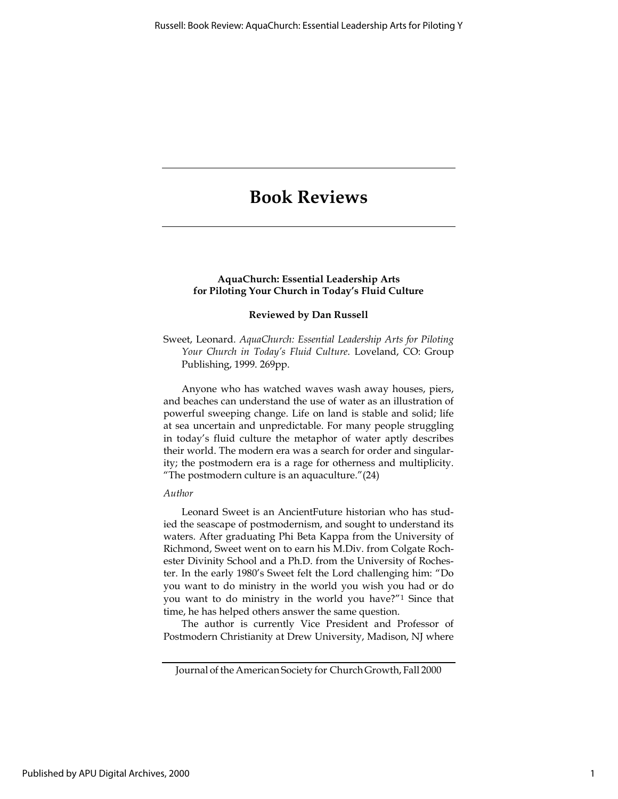## Book Reviews

## AquaChurch: Essential Leadership Arts for Piloting Your Church in Today's Fluid Culture

#### Reviewed by Dan Russell

Sweet, Leonard. AquaChurch: Essential Leadership Arts for Piloting Your Church in Today's Fluid Culture. Loveland, CO: Group Publishing, 1999. 269pp.

Anyone who has watched waves wash away houses, piers, and beaches can understand the use of water as an illustration of powerful sweeping change. Life on land is stable and solid; life at sea uncertain and unpredictable. For many people struggling in today's fluid culture the metaphor of water aptly describes their world. The modern era was a search for order and singularity; the postmodern era is a rage for otherness and multiplicity. "The postmodern culture is an aquaculture."(24)

## Author

Leonard Sweet is an AncientFuture historian who has studied the seascape of postmodernism, and sought to understand its waters. After graduating Phi Beta Kappa from the University of Richmond, Sweet went on to earn his M.Div. from Colgate Rochester Divinity School and a Ph.D. from the University of Rochester. In the early 1980's Sweet felt the Lord challenging him: "Do you want to do ministry in the world you wish you had or do you want to do ministry in the world you have?"<sup>1</sup> Since that time, he has helped others answer the same question.

The author is currently Vice President and Professor of Postmodern Christianity at Drew University, Madison, NJ where

Journal of the American Society for Church Growth, Fall 2000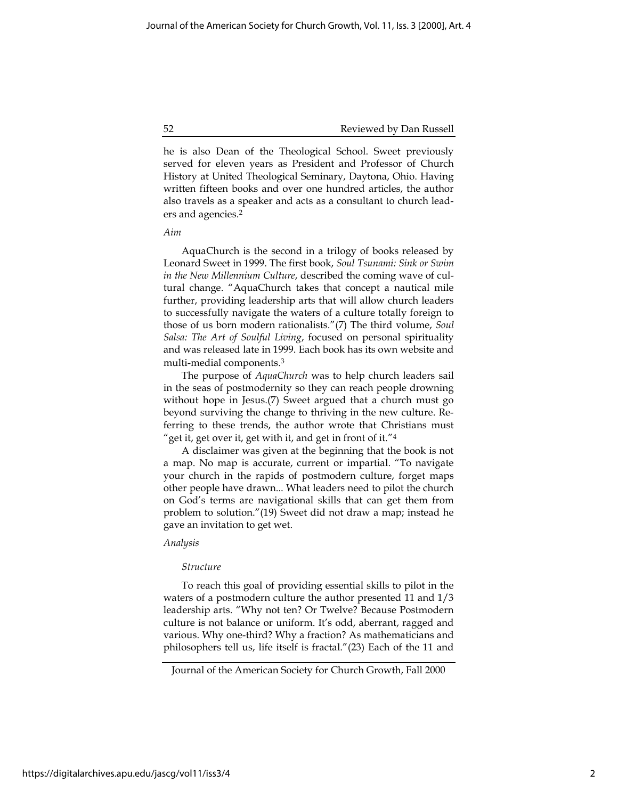52 Reviewed by Dan Russell

he is also Dean of the Theological School. Sweet previously served for eleven years as President and Professor of Church History at United Theological Seminary, Daytona, Ohio. Having written fifteen books and over one hundred articles, the author also travels as a speaker and acts as a consultant to church leaders and agencies.<sup>2</sup>

#### Aim

AquaChurch is the second in a trilogy of books released by Leonard Sweet in 1999. The first book, Soul Tsunami: Sink or Swim in the New Millennium Culture, described the coming wave of cultural change. "AquaChurch takes that concept a nautical mile further, providing leadership arts that will allow church leaders to successfully navigate the waters of a culture totally foreign to those of us born modern rationalists."(7) The third volume, Soul Salsa: The Art of Soulful Living, focused on personal spirituality and was released late in 1999. Each book has its own website and multi-medial components.<sup>3</sup>

The purpose of AquaChurch was to help church leaders sail in the seas of postmodernity so they can reach people drowning without hope in Jesus.(7) Sweet argued that a church must go beyond surviving the change to thriving in the new culture. Referring to these trends, the author wrote that Christians must "get it, get over it, get with it, and get in front of it."<sup>4</sup>

A disclaimer was given at the beginning that the book is not a map. No map is accurate, current or impartial. "To navigate your church in the rapids of postmodern culture, forget maps other people have drawn... What leaders need to pilot the church on God's terms are navigational skills that can get them from problem to solution."(19) Sweet did not draw a map; instead he gave an invitation to get wet.

## Analysis

#### Structure

To reach this goal of providing essential skills to pilot in the waters of a postmodern culture the author presented 11 and 1/3 leadership arts. "Why not ten? Or Twelve? Because Postmodern culture is not balance or uniform. It's odd, aberrant, ragged and various. Why one-third? Why a fraction? As mathematicians and philosophers tell us, life itself is fractal."(23) Each of the 11 and

Journal of the American Society for Church Growth, Fall 2000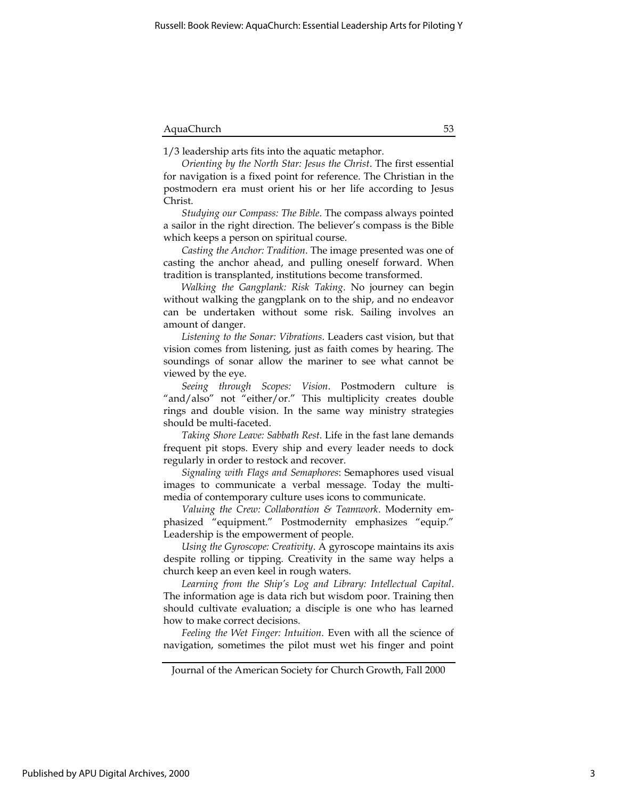1/3 leadership arts fits into the aquatic metaphor.

Orienting by the North Star: Jesus the Christ. The first essential for navigation is a fixed point for reference. The Christian in the postmodern era must orient his or her life according to Jesus Christ.

Studying our Compass: The Bible. The compass always pointed a sailor in the right direction. The believer's compass is the Bible which keeps a person on spiritual course.

Casting the Anchor: Tradition. The image presented was one of casting the anchor ahead, and pulling oneself forward. When tradition is transplanted, institutions become transformed.

Walking the Gangplank: Risk Taking. No journey can begin without walking the gangplank on to the ship, and no endeavor can be undertaken without some risk. Sailing involves an amount of danger.

Listening to the Sonar: Vibrations. Leaders cast vision, but that vision comes from listening, just as faith comes by hearing. The soundings of sonar allow the mariner to see what cannot be viewed by the eye.

Seeing through Scopes: Vision. Postmodern culture is "and/also" not "either/or." This multiplicity creates double rings and double vision. In the same way ministry strategies should be multi-faceted.

Taking Shore Leave: Sabbath Rest. Life in the fast lane demands frequent pit stops. Every ship and every leader needs to dock regularly in order to restock and recover.

Signaling with Flags and Semaphores: Semaphores used visual images to communicate a verbal message. Today the multimedia of contemporary culture uses icons to communicate.

Valuing the Crew: Collaboration & Teamwork. Modernity emphasized "equipment." Postmodernity emphasizes "equip." Leadership is the empowerment of people.

Using the Gyroscope: Creativity. A gyroscope maintains its axis despite rolling or tipping. Creativity in the same way helps a church keep an even keel in rough waters.

Learning from the Ship's Log and Library: Intellectual Capital. The information age is data rich but wisdom poor. Training then should cultivate evaluation; a disciple is one who has learned how to make correct decisions.

Feeling the Wet Finger: Intuition. Even with all the science of navigation, sometimes the pilot must wet his finger and point

Journal of the American Society for Church Growth, Fall 2000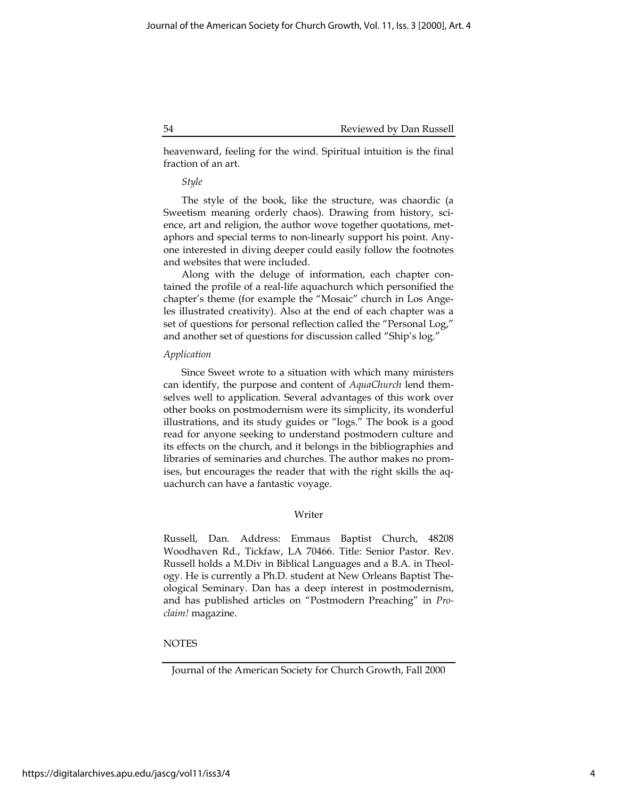heavenward, feeling for the wind. Spiritual intuition is the final fraction of an art.

## Style

The style of the book, like the structure, was chaordic (a Sweetism meaning orderly chaos). Drawing from history, science, art and religion, the author wove together quotations, metaphors and special terms to non-linearly support his point. Anyone interested in diving deeper could easily follow the footnotes and websites that were included.

Along with the deluge of information, each chapter contained the profile of a real-life aquachurch which personified the chapter's theme (for example the "Mosaic" church in Los Angeles illustrated creativity). Also at the end of each chapter was a set of questions for personal reflection called the "Personal Log," and another set of questions for discussion called "Ship's log."

## Application

Since Sweet wrote to a situation with which many ministers can identify, the purpose and content of AquaChurch lend themselves well to application. Several advantages of this work over other books on postmodernism were its simplicity, its wonderful illustrations, and its study guides or "logs." The book is a good read for anyone seeking to understand postmodern culture and its effects on the church, and it belongs in the bibliographies and libraries of seminaries and churches. The author makes no promises, but encourages the reader that with the right skills the aquachurch can have a fantastic voyage.

## Writer

Russell, Dan. Address: Emmaus Baptist Church, 48208 Woodhaven Rd., Tickfaw, LA 70466. Title: Senior Pastor. Rev. Russell holds a M.Div in Biblical Languages and a B.A. in Theology. He is currently a Ph.D. student at New Orleans Baptist Theological Seminary. Dan has a deep interest in postmodernism, and has published articles on "Postmodern Preaching" in Proclaim! magazine.

## **NOTES**

Journal of the American Society for Church Growth, Fall 2000